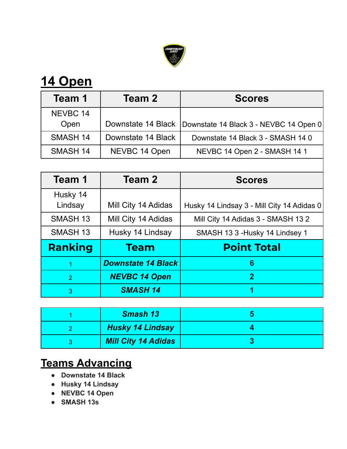

| Team 1          | Team 2             | <b>Scores</b>                          |
|-----------------|--------------------|----------------------------------------|
| NEVBC 14        |                    |                                        |
| Open            | Downstate 14 Black | Downstate 14 Black 3 - NEVBC 14 Open 0 |
| <b>SMASH 14</b> | Downstate 14 Black | Downstate 14 Black 3 - SMASH 14 0      |
| <b>SMASH 14</b> | NEVBC 14 Open      | NEVBC 14 Open 2 - SMASH 14 1           |

| Team 1              | Team 2                    | <b>Scores</b>                              |
|---------------------|---------------------------|--------------------------------------------|
| Husky 14<br>Lindsay | Mill City 14 Adidas       | Husky 14 Lindsay 3 - Mill City 14 Adidas 0 |
| <b>SMASH 13</b>     | Mill City 14 Adidas       | Mill City 14 Adidas 3 - SMASH 13 2         |
| <b>SMASH 13</b>     | Husky 14 Lindsay          | SMASH 13 3 - Husky 14 Lindsey 1            |
| <b>Ranking</b>      | <b>Team</b>               | <b>Point Total</b>                         |
| $\mathbf 1$         | <b>Downstate 14 Black</b> | 6                                          |
| 2                   | <b>NEVBC 14 Open</b>      | $\mathbf{2}$                               |
| 3                   | <b>SMASH 14</b>           | 1                                          |

| <b>Smash 13</b>            |  |
|----------------------------|--|
| <b>Husky 14 Lindsay</b>    |  |
| <b>Mill City 14 Adidas</b> |  |

## **Teams Advancing**

- **● Downstate 14 Black**
- **● Husky 14 Lindsay**
- **● NEVBC 14 Open**
- **● SMASH 13s**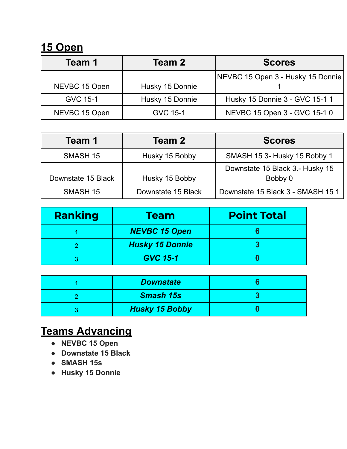| Team 1          | Team 2          | <b>Scores</b>                     |
|-----------------|-----------------|-----------------------------------|
|                 |                 | NEVBC 15 Open 3 - Husky 15 Donnie |
| NEVBC 15 Open   | Husky 15 Donnie |                                   |
| <b>GVC 15-1</b> | Husky 15 Donnie | Husky 15 Donnie 3 - GVC 15-1 1    |
| NEVBC 15 Open   | <b>GVC 15-1</b> | NEVBC 15 Open 3 - GVC 15-1 0      |

| Team 2<br>Team 1   |                    | <b>Scores</b>                     |
|--------------------|--------------------|-----------------------------------|
| <b>SMASH 15</b>    | Husky 15 Bobby     | SMASH 15 3- Husky 15 Bobby 1      |
|                    |                    | Downstate 15 Black 3.- Husky 15   |
| Downstate 15 Black | Husky 15 Bobby     | Bobby 0                           |
| <b>SMASH 15</b>    | Downstate 15 Black | Downstate 15 Black 3 - SMASH 15 1 |

| Ranking | <b>Team</b>            | <b>Point Total</b> |
|---------|------------------------|--------------------|
|         | <b>NEVBC 15 Open</b>   |                    |
|         | <b>Husky 15 Donnie</b> |                    |
|         | <b>GVC 15-1</b>        |                    |

| <b>Downstate</b>      |  |
|-----------------------|--|
| <b>Smash 15s</b>      |  |
| <b>Husky 15 Bobby</b> |  |

## **Teams Advancing**

- **● NEVBC 15 Open**
- **● Downstate 15 Black**
- **● SMASH 15s**
- **● Husky 15 Donnie**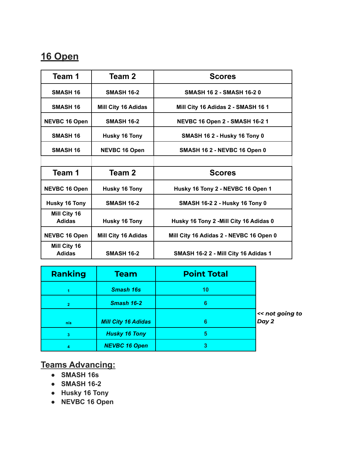| Team 1                        | Team 2                     | <b>Scores</b>                           |
|-------------------------------|----------------------------|-----------------------------------------|
| <b>SMASH 16</b>               | <b>SMASH 16-2</b>          | <b>SMASH 16 2 - SMASH 16-20</b>         |
| <b>SMASH 16</b>               | <b>Mill City 16 Adidas</b> | Mill City 16 Adidas 2 - SMASH 16 1      |
| <b>NEVBC 16 Open</b>          | <b>SMASH 16-2</b>          | <b>NEVBC 16 Open 2 - SMASH 16-2 1</b>   |
| <b>SMASH 16</b>               | <b>Husky 16 Tony</b>       | SMASH 162 - Husky 16 Tony 0             |
| <b>SMASH 16</b>               | <b>NEVBC 16 Open</b>       | SMASH 16 2 - NEVBC 16 Open 0            |
|                               |                            |                                         |
| Team 1                        | Team 2                     | <b>Scores</b>                           |
| <b>NEVBC 16 Open</b>          | <b>Husky 16 Tony</b>       | Husky 16 Tony 2 - NEVBC 16 Open 1       |
| <b>Husky 16 Tony</b>          | <b>SMASH 16-2</b>          | <b>SMASH 16-2 2 - Husky 16 Tony 0</b>   |
| Mill City 16<br><b>Adidas</b> | <b>Husky 16 Tony</b>       | Husky 16 Tony 2 - Mill City 16 Adidas 0 |
| <b>NEVBC 16 Open</b>          | <b>Mill City 16 Adidas</b> | Mill City 16 Adidas 2 - NEVBC 16 Open 0 |
| Mill City 16<br><b>Adidas</b> | <b>SMASH 16-2</b>          | SMASH 16-2 2 - Mill City 16 Adidas 1    |

| <b>Ranking</b> | <b>Team</b>                | <b>Point Total</b> |                          |
|----------------|----------------------------|--------------------|--------------------------|
|                | <b>Smash 16s</b>           | 10                 |                          |
| $\overline{2}$ | Smash 16-2                 | 6                  |                          |
| n/a            | <b>Mill City 16 Adidas</b> | 6                  | << not going to<br>Day 2 |
| 3              | <b>Husky 16 Tony</b>       | 5                  |                          |
|                | <b>NEVBC 16 Open</b>       |                    |                          |

#### **Teams Advancing:**

- **● SMASH 16s**
- **● SMASH 16-2**
- **● Husky 16 Tony**
- **● NEVBC 16 Open**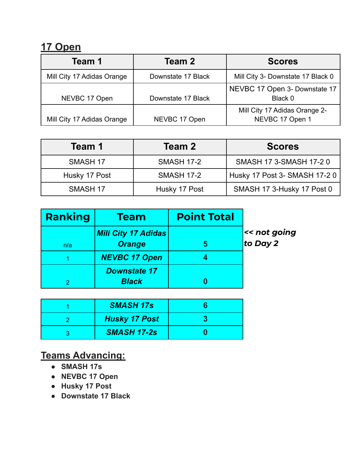| Team 1                     | Team 2             | <b>Scores</b>                                    |
|----------------------------|--------------------|--------------------------------------------------|
| Mill City 17 Adidas Orange | Downstate 17 Black | Mill City 3- Downstate 17 Black 0                |
| NEVBC 17 Open              | Downstate 17 Black | NEVBC 17 Open 3- Downstate 17<br>Black 0         |
| Mill City 17 Adidas Orange | NEVBC 17 Open      | Mill City 17 Adidas Orange 2-<br>NEVBC 17 Open 1 |

| Team 1          | Team 2            | <b>Scores</b>                 |  |
|-----------------|-------------------|-------------------------------|--|
| <b>SMASH 17</b> | <b>SMASH 17-2</b> | SMASH 17 3-SMASH 17-2 0       |  |
| Husky 17 Post   | <b>SMASH 17-2</b> | Husky 17 Post 3- SMASH 17-2 0 |  |
| <b>SMASH 17</b> | Husky 17 Post     | SMASH 17 3-Husky 17 Post 0    |  |

| Ranking | <b>Team</b>                | <b>Point Total</b> |              |
|---------|----------------------------|--------------------|--------------|
|         | <b>Mill City 17 Adidas</b> |                    | << not going |
| n/a     | <b>Orange</b>              | 5                  | to Day 2     |
|         | <b>NEVBC 17 Open</b>       |                    |              |
|         | <b>Downstate 17</b>        |                    |              |
|         | <b>Black</b>               |                    |              |

| <b>SMASH 17s</b>     |  |
|----------------------|--|
| <b>Husky 17 Post</b> |  |
| <b>SMASH 17-2s</b>   |  |

## **Teams Advancing:**

- **● SMASH 17s**
- **● NEVBC 17 Open**
- **● Husky 17 Post**
- **● Downstate 17 Black**